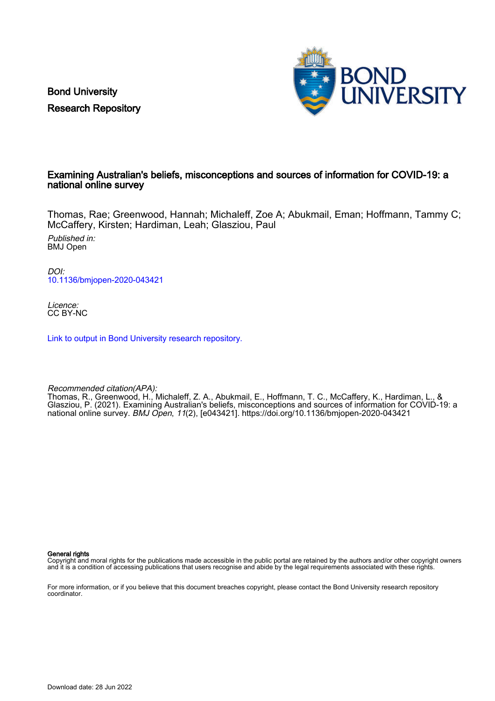Bond University Research Repository



# Examining Australian's beliefs, misconceptions and sources of information for COVID-19: a national online survey

Thomas, Rae; Greenwood, Hannah; Michaleff, Zoe A; Abukmail, Eman; Hoffmann, Tammy C; McCaffery, Kirsten; Hardiman, Leah; Glasziou, Paul

Published in: BMJ Open

DOI: [10.1136/bmjopen-2020-043421](https://doi.org/10.1136/bmjopen-2020-043421)

Licence: CC BY-NC

[Link to output in Bond University research repository.](https://research.bond.edu.au/en/publications/241db956-27ce-4023-8668-9b5ec05f6970)

Recommended citation(APA):

Thomas, R., Greenwood, H., Michaleff, Z. A., Abukmail, E., Hoffmann, T. C., McCaffery, K., Hardiman, L., & Glasziou, P. (2021). Examining Australian's beliefs, misconceptions and sources of information for COVID-19: a national online survey. BMJ Open, 11(2), [e043421]. <https://doi.org/10.1136/bmjopen-2020-043421>

General rights

Copyright and moral rights for the publications made accessible in the public portal are retained by the authors and/or other copyright owners and it is a condition of accessing publications that users recognise and abide by the legal requirements associated with these rights.

For more information, or if you believe that this document breaches copyright, please contact the Bond University research repository coordinator.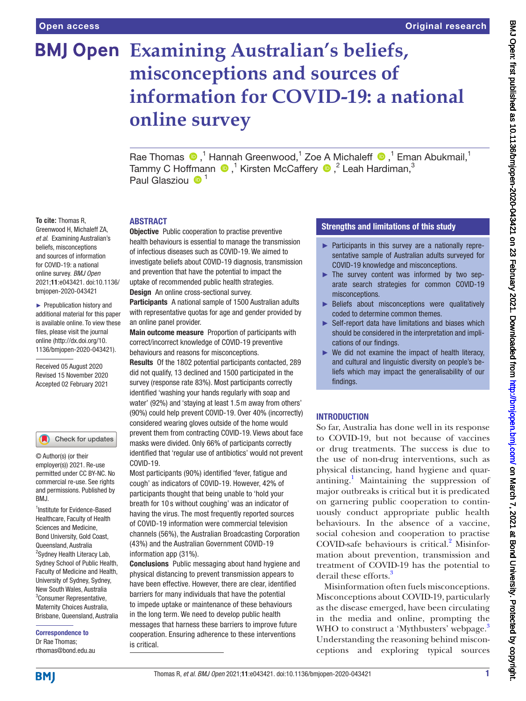# **Examining Australian's beliefs, misconceptions and sources of information for COVID-19: a national online survey**

Rae Thomas  $\bigcirc$ ,<sup>1</sup> Hannah Greenwood,<sup>1</sup> Zoe A Michaleff  $\bigcirc$ ,<sup>1</sup> Eman Abukmail,<sup>1</sup> TammyC Hoffmann  $\bigcirc$  ,<sup>1</sup> Kirsten McCaffery  $\bigcirc$  ,<sup>2</sup> Leah Hardiman,<sup>3</sup> Paul Glasziou  $\mathbf{0}^1$ 

# ABSTRACT

**Objective** Public cooperation to practise preventive health behaviours is essential to manage the transmission of infectious diseases such as COVID-19. We aimed to investigate beliefs about COVID-19 diagnosis, transmission and prevention that have the potential to impact the uptake of recommended public health strategies. **Design** An online cross-sectional survey.

Participants A national sample of 1500 Australian adults with representative quotas for age and gender provided by an online panel provider.

Main outcome measure Proportion of participants with correct/incorrect knowledge of COVID-19 preventive behaviours and reasons for misconceptions.

Results Of the 1802 potential participants contacted, 289 did not qualify, 13 declined and 1500 participated in the survey (response rate 83%). Most participants correctly identified 'washing your hands regularly with soap and water' (92%) and 'staying at least 1.5m away from others' (90%) could help prevent COVID-19. Over 40% (incorrectly) considered wearing gloves outside of the home would prevent them from contracting COVID-19. Views about face masks were divided. Only 66% of participants correctly identified that 'regular use of antibiotics' would not prevent COVID-19.

Most participants (90%) identified 'fever, fatigue and cough' as indicators of COVID-19. However, 42% of participants thought that being unable to 'hold your breath for 10 s without coughing' was an indicator of having the virus. The most frequently reported sources of COVID-19 information were commercial television channels (56%), the Australian Broadcasting Corporation (43%) and the Australian Government COVID-19 information app (31%).

Conclusions Public messaging about hand hygiene and physical distancing to prevent transmission appears to have been effective. However, there are clear, identified barriers for many individuals that have the potential to impede uptake or maintenance of these behaviours in the long term. We need to develop public health messages that harness these barriers to improve future cooperation. Ensuring adherence to these interventions is critical.

# Strengths and limitations of this study

- ► Participants in this survey are a nationally representative sample of Australian adults surveyed for COVID-19 knowledge and misconceptions.
- ► The survey content was informed by two separate search strategies for common COVID-19 misconceptions.
- ► Beliefs about misconceptions were qualitatively coded to determine common themes.
- ► Self-report data have limitations and biases which should be considered in the interpretation and implications of our findings.
- $\triangleright$  We did not examine the impact of health literacy, and cultural and linguistic diversity on people's beliefs which may impact the generalisability of our findings.

# **INTRODUCTION**

So far, Australia has done well in its response to COVID-19, but not because of vaccines or drug treatments. The success is due to the use of non-drug interventions, such as physical distancing, hand hygiene and quar-antining.<sup>[1](#page-10-0)</sup> Maintaining the suppression of major outbreaks is critical but it is predicated on garnering public cooperation to continuously conduct appropriate public health behaviours. In the absence of a vaccine, social cohesion and cooperation to practise COVID-safe behaviours is critical.<sup>[2](#page-10-1)</sup> Misinformation about prevention, transmission and treatment of COVID-19 has the potential to derail these efforts.<sup>[3](#page-10-2)</sup>

Misinformation often fuels misconceptions. Misconceptions about COVID-19, particularly as the disease emerged, have been circulating in the media and online, prompting the WHO to construct a 'Mythbusters' webpage.<sup>3</sup> Understanding the reasoning behind misconceptions and exploring typical sources

**To cite:** Thomas R, Greenwood H, Michaleff ZA, *et al*. Examining Australian's beliefs, misconceptions and sources of information for COVID-19: a national online survey. *BMJ Open* 2021;11:e043421. doi:10.1136/ bmjopen-2020-043421

► Prepublication history and additional material for this paper is available online. To view these files, please visit the journal online (http://dx.doi.org/10. 1136/bmjopen-2020-043421).

Received 05 August 2020 Revised 15 November 2020 Accepted 02 February 2021

#### Check for updates

© Author(s) (or their employer(s)) 2021. Re-use permitted under CC BY-NC. No commercial re-use. See rights and permissions. Published by RM<sub>J</sub>

<sup>1</sup>Institute for Evidence-Based Healthcare, Faculty of Health Sciences and Medicine, Bond University, Gold Coast, Queensland, Australia <sup>2</sup>Sydney Health Literacy Lab, Sydney School of Public Health, Faculty of Medicine and Health, University of Sydney, Sydney, New South Wales, Australia 3 Consumer Representative, Maternity Choices Australia, Brisbane, Queensland, Australia

Correspondence to Dr Rae Thomas; rthomas@bond.edu.au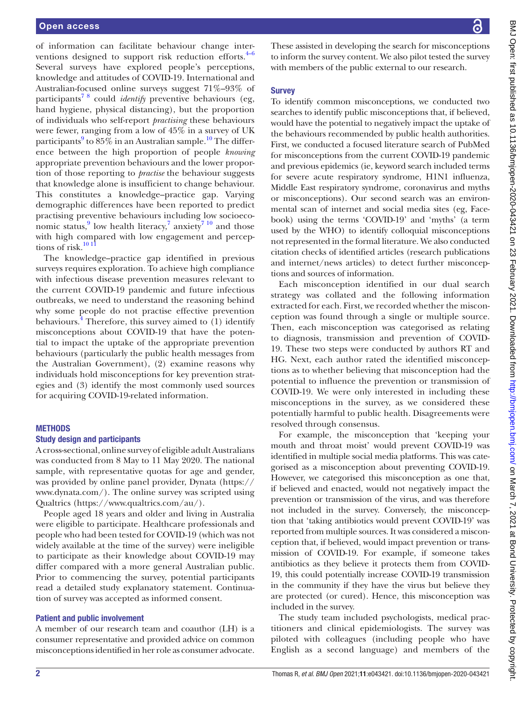of information can facilitate behaviour change interventions designed to support risk reduction efforts. $4-6$ Several surveys have explored people's perceptions, knowledge and attitudes of COVID-19. International and Australian-focused online surveys suggest 71%–93% of participants[7 8](#page-10-4) could *identify* preventive behaviours (eg, hand hygiene, physical distancing), but the proportion of individuals who self-report *practising* these behaviours were fewer, ranging from a low of 45% in a survey of UK participants $9$  to  $85\%$  in an Australian sample.<sup>[10](#page-10-6)</sup> The difference between the high proportion of people *knowing* appropriate prevention behaviours and the lower proportion of those reporting to *practise* the behaviour suggests that knowledge alone is insufficient to change behaviour. This constitutes a knowledge–practice gap. Varying demographic differences have been reported to predict practising preventive behaviours including low socioeco-nomic status,<sup>[9](#page-10-5)</sup> low health literacy,<sup>7</sup> anxiety<sup>7</sup><sup>10</sup> and those with high compared with low engagement and perceptions of risk. $1011$ 

The knowledge–practice gap identified in previous surveys requires exploration. To achieve high compliance with infectious disease prevention measures relevant to the current COVID-19 pandemic and future infectious outbreaks, we need to understand the reasoning behind why some people do not practise effective prevention behaviours.<sup>4</sup> Therefore, this survey aimed to  $(1)$  identify misconceptions about COVID-19 that have the potential to impact the uptake of the appropriate prevention behaviours (particularly the public health messages from the Australian Government), (2) examine reasons why individuals hold misconceptions for key prevention strategies and (3) identify the most commonly used sources for acquiring COVID-19-related information.

#### **METHODS**

#### Study design and participants

A cross-sectional, online survey of eligible adult Australians was conducted from 8 May to 11 May 2020. The national sample, with representative quotas for age and gender, was provided by online panel provider, Dynata [\(https://](https://www.dynata.com/) [www.dynata.com/\)](https://www.dynata.com/). The online survey was scripted using Qualtrics [\(https://www.qualtrics.com/au/](https://www.qualtrics.com/au/)).

People aged 18 years and older and living in Australia were eligible to participate. Healthcare professionals and people who had been tested for COVID-19 (which was not widely available at the time of the survey) were ineligible to participate as their knowledge about COVID-19 may differ compared with a more general Australian public. Prior to commencing the survey, potential participants read a detailed study explanatory statement. Continuation of survey was accepted as informed consent.

### Patient and public involvement

A member of our research team and coauthor (LH) is a consumer representative and provided advice on common misconceptions identified in her role as consumer advocate.

These assisted in developing the search for misconceptions to inform the survey content. We also pilot tested the survey with members of the public external to our research.

## **Survey**

To identify common misconceptions, we conducted two searches to identify public misconceptions that, if believed, would have the potential to negatively impact the uptake of the behaviours recommended by public health authorities. First, we conducted a focused literature search of PubMed for misconceptions from the current COVID-19 pandemic and previous epidemics (ie, keyword search included terms for severe acute respiratory syndrome, H1N1 influenza, Middle East respiratory syndrome, coronavirus and myths or misconceptions). Our second search was an environmental scan of internet and social media sites (eg, Facebook) using the terms 'COVID-19' and 'myths' (a term used by the WHO) to identify colloquial misconceptions not represented in the formal literature. We also conducted citation checks of identified articles (research publications and internet/news articles) to detect further misconceptions and sources of information.

Each misconception identified in our dual search strategy was collated and the following information extracted for each. First, we recorded whether the misconception was found through a single or multiple source. Then, each misconception was categorised as relating to diagnosis, transmission and prevention of COVID-19. These two steps were conducted by authors RT and HG. Next, each author rated the identified misconceptions as to whether believing that misconception had the potential to influence the prevention or transmission of COVID-19. We were only interested in including these misconceptions in the survey, as we considered these potentially harmful to public health. Disagreements were resolved through consensus.

For example, the misconception that 'keeping your mouth and throat moist' would prevent COVID-19 was identified in multiple social media platforms. This was categorised as a misconception about preventing COVID-19. However, we categorised this misconception as one that, if believed and enacted, would not negatively impact the prevention or transmission of the virus, and was therefore not included in the survey. Conversely, the misconception that 'taking antibiotics would prevent COVID-19' was reported from multiple sources. It was considered a misconception that, if believed, would impact prevention or transmission of COVID-19. For example, if someone takes antibiotics as they believe it protects them from COVID-19, this could potentially increase COVID-19 transmission in the community if they have the virus but believe they are protected (or cured). Hence, this misconception was included in the survey.

The study team included psychologists, medical practitioners and clinical epidemiologists. The survey was piloted with colleagues (including people who have English as a second language) and members of the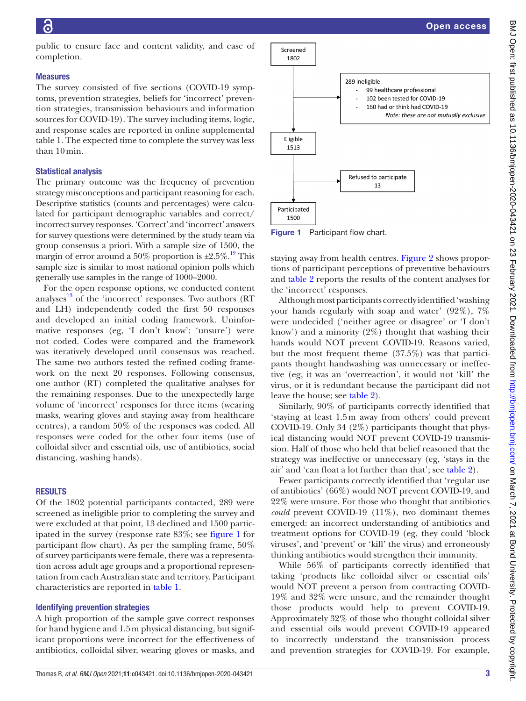public to ensure face and content validity, and ease of completion.

#### Measures

The survey consisted of five sections (COVID-19 symptoms, prevention strategies, beliefs for 'incorrect' prevention strategies, transmission behaviours and information sources for COVID-19). The survey including items, logic, and response scales are reported in [online supplemental](https://dx.doi.org/10.1136/bmjopen-2020-043421) [table 1](https://dx.doi.org/10.1136/bmjopen-2020-043421). The expected time to complete the survey was less than 10min.

### Statistical analysis

The primary outcome was the frequency of prevention strategy misconceptions and participant reasoning for each. Descriptive statistics (counts and percentages) were calculated for participant demographic variables and correct/ incorrect survey responses. 'Correct' and 'incorrect' answers for survey questions were determined by the study team via group consensus a priori. With a sample size of 1500, the margin of error around a 50% proportion is  $\pm 2.5\%$ .<sup>12</sup> This sample size is similar to most national opinion polls which generally use samples in the range of 1000–2000.

For the open response options, we conducted content analyses $^{13}$  $^{13}$  $^{13}$  of the 'incorrect' responses. Two authors (RT and LH) independently coded the first 50 responses and developed an initial coding framework. Uninformative responses (eg, 'I don't know'; 'unsure') were not coded. Codes were compared and the framework was iteratively developed until consensus was reached. The same two authors tested the refined coding framework on the next 20 responses. Following consensus, one author (RT) completed the qualitative analyses for the remaining responses. Due to the unexpectedly large volume of 'incorrect' responses for three items (wearing masks, wearing gloves and staying away from healthcare centres), a random 50% of the responses was coded. All responses were coded for the other four items (use of colloidal silver and essential oils, use of antibiotics, social distancing, washing hands).

## **RESULTS**

Of the 1802 potential participants contacted, 289 were screened as ineligible prior to completing the survey and were excluded at that point, 13 declined and 1500 participated in the survey (response rate 83%; see [figure](#page-3-0) 1 for participant flow chart). As per the sampling frame, 50% of survey participants were female, there was a representation across adult age groups and a proportional representation from each Australian state and territory. Participant characteristics are reported in [table](#page-4-0) 1.

#### Identifying prevention strategies

A high proportion of the sample gave correct responses for hand hygiene and 1.5m physical distancing, but significant proportions were incorrect for the effectiveness of antibiotics, colloidal silver, wearing gloves or masks, and



<span id="page-3-0"></span>Figure 1 Participant flow chart.

staying away from health centres. [Figure](#page-5-0) 2 shows proportions of participant perceptions of preventive behaviours and [table](#page-6-0) 2 reports the results of the content analyses for the 'incorrect' responses.

Although most participants correctly identified 'washing your hands regularly with soap and water' (92%), 7% were undecided ('neither agree or disagree' or 'I don't know') and a minority (2%) thought that washing their hands would NOT prevent COVID-19. Reasons varied, but the most frequent theme (37.5%) was that participants thought handwashing was unnecessary or ineffective (eg, it was an 'overreaction', it would not 'kill' the virus, or it is redundant because the participant did not leave the house; see [table](#page-6-0) 2).

Similarly, 90% of participants correctly identified that 'staying at least 1.5m away from others' could prevent COVID-19. Only 34 (2%) participants thought that physical distancing would NOT prevent COVID-19 transmission. Half of those who held that belief reasoned that the strategy was ineffective or unnecessary (eg, 'stays in the air' and 'can float a lot further than that'; see [table](#page-6-0) 2).

Fewer participants correctly identified that 'regular use of antibiotics' (66%) would NOT prevent COVID-19, and 22% were unsure. For those who thought that antibiotics *could* prevent COVID-19 (11%), two dominant themes emerged: an incorrect understanding of antibiotics and treatment options for COVID-19 (eg, they could 'block viruses', and 'prevent' or 'kill' the virus) and erroneously thinking antibiotics would strengthen their immunity.

While 56% of participants correctly identified that taking 'products like colloidal silver or essential oils' would NOT prevent a person from contracting COVID-19% and 32% were unsure, and the remainder thought those products would help to prevent COVID-19. Approximately 32% of those who thought colloidal silver and essential oils would prevent COVID-19 appeared to incorrectly understand the transmission process and prevention strategies for COVID-19. For example,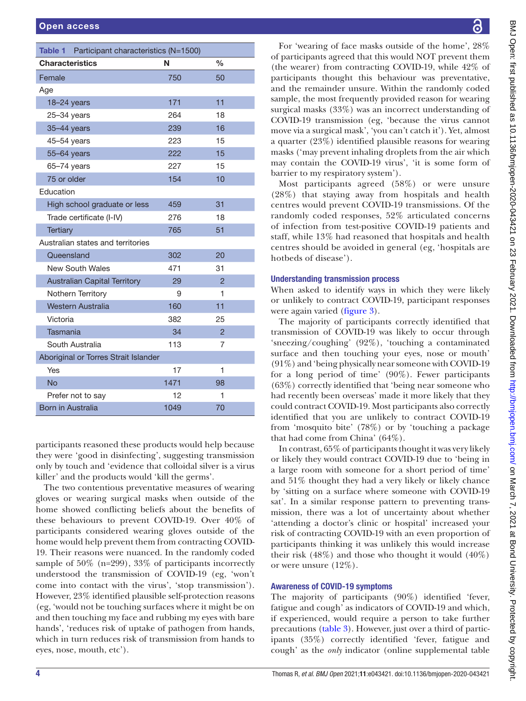<span id="page-4-0"></span>

| Table 1 Participant characteristics (N=1500) |      |                |
|----------------------------------------------|------|----------------|
| <b>Characteristics</b>                       | N    | $\frac{0}{0}$  |
| Female                                       | 750  | 50             |
| Age                                          |      |                |
| 18-24 years                                  | 171  | 11             |
| 25-34 years                                  | 264  | 18             |
| 35-44 years                                  | 239  | 16             |
| 45-54 years                                  | 223  | 15             |
| 55-64 years                                  | 222  | 15             |
| $65 - 74$ years                              | 227  | 15             |
| 75 or older                                  | 154  | 10             |
| Education                                    |      |                |
| High school graduate or less                 | 459  | 31             |
| Trade certificate (I-IV)                     | 276  | 18             |
| <b>Tertiary</b>                              | 765  | 51             |
| Australian states and territories            |      |                |
| Queensland                                   | 302  | 20             |
| New South Wales                              | 471  | 31             |
| <b>Australian Capital Territory</b>          | 29   | $\overline{2}$ |
| <b>Nothern Territory</b>                     | 9    | 1              |
| Western Australia                            | 160  | 11             |
| Victoria                                     | 382  | 25             |
| <b>Tasmania</b>                              | 34   | $\overline{2}$ |
| South Australia                              | 113  | 7              |
| Aboriginal or Torres Strait Islander         |      |                |
| Yes                                          | 17   | 1              |
| <b>No</b>                                    | 1471 | 98             |
| Prefer not to say                            | 12   | 1              |
| Born in Australia                            | 1049 | 70             |

participants reasoned these products would help because they were 'good in disinfecting', suggesting transmission only by touch and 'evidence that colloidal silver is a virus killer' and the products would 'kill the germs'.

The two contentious preventative measures of wearing gloves or wearing surgical masks when outside of the home showed conflicting beliefs about the benefits of these behaviours to prevent COVID-19. Over 40% of participants considered wearing gloves outside of the home would help prevent them from contracting COVID-19. Their reasons were nuanced. In the randomly coded sample of 50% (n=299), 33% of participants incorrectly understood the transmission of COVID-19 (eg, 'won't come into contact with the virus', 'stop transmission'). However, 23% identified plausible self-protection reasons (eg, 'would not be touching surfaces where it might be on and then touching my face and rubbing my eyes with bare hands', 'reduces risk of uptake of pathogen from hands, which in turn reduces risk of transmission from hands to eyes, nose, mouth, etc').

For 'wearing of face masks outside of the home', 28% of participants agreed that this would NOT prevent them (the wearer) from contracting COVID-19, while 42% of participants thought this behaviour was preventative, and the remainder unsure. Within the randomly coded sample, the most frequently provided reason for wearing surgical masks (33%) was an incorrect understanding of COVID-19 transmission (eg, 'because the virus cannot move via a surgical mask', 'you can't catch it'). Yet, almost a quarter (23%) identified plausible reasons for wearing masks ('may prevent inhaling droplets from the air which may contain the COVID-19 virus', 'it is some form of barrier to my respiratory system').

Most participants agreed (58%) or were unsure (28%) that staying away from hospitals and health centres would prevent COVID-19 transmissions. Of the randomly coded responses, 52% articulated concerns of infection from test-positive COVID-19 patients and staff, while 13% had reasoned that hospitals and health centres should be avoided in general (eg, 'hospitals are hotbeds of disease').

# Understanding transmission process

When asked to identify ways in which they were likely or unlikely to contract COVID-19, participant responses were again varied ([figure](#page-8-0) 3).

The majority of participants correctly identified that transmission of COVID-19 was likely to occur through 'sneezing/coughing' (92%), 'touching a contaminated surface and then touching your eyes, nose or mouth' (91%) and 'being physically near someone with COVID-19 for a long period of time' (90%). Fewer participants (63%) correctly identified that 'being near someone who had recently been overseas' made it more likely that they could contract COVID-19. Most participants also correctly identified that you are unlikely to contract COVID-19 from 'mosquito bite' (78%) or by 'touching a package that had come from China' (64%).

In contrast, 65% of participants thought it was very likely or likely they would contract COVID-19 due to 'being in a large room with someone for a short period of time' and 51% thought they had a very likely or likely chance by 'sitting on a surface where someone with COVID-19 sat'. In a similar response pattern to preventing transmission, there was a lot of uncertainty about whether 'attending a doctor's clinic or hospital' increased your risk of contracting COVID-19 with an even proportion of participants thinking it was unlikely this would increase their risk  $(48\%)$  and those who thought it would  $(40\%)$ or were unsure (12%).

# Awareness of COVID-19 symptoms

The majority of participants (90%) identified 'fever, fatigue and cough' as indicators of COVID-19 and which, if experienced, would require a person to take further precautions ([table](#page-8-1) 3). However, just over a third of participants (35%) correctly identified 'fever, fatigue and cough' as the *only* indicator ([online supplemental table](https://dx.doi.org/10.1136/bmjopen-2020-043421)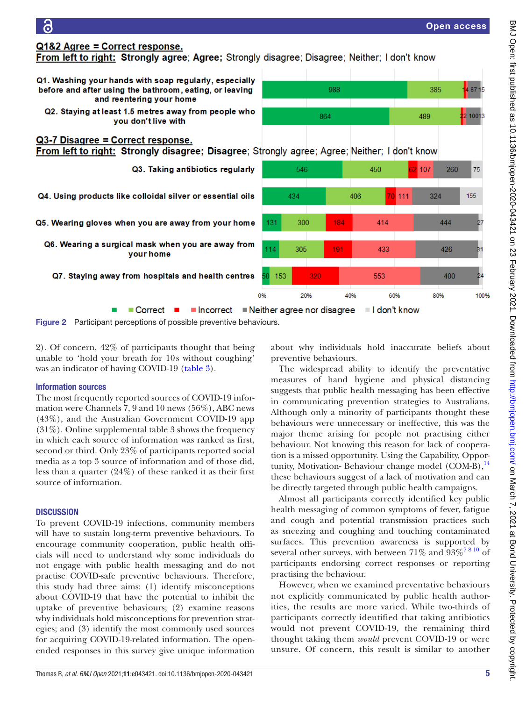

# <span id="page-5-0"></span>Information sources

a

Q1&2 Agree = Correct response.

Q3-7 Disagree = Correct response.

and reentering your home

you don't live with

your home

 $\blacksquare$  Correct  $\blacksquare$ 

The most frequently reported sources of COVID-19 information were Channels 7, 9 and 10 news (56%), ABC news (43%), and the Australian Government COVID-19 app  $(31\%)$ . [Online supplemental table 3](https://dx.doi.org/10.1136/bmjopen-2020-043421) shows the frequency in which each source of information was ranked as first, second or third. Only 23% of participants reported social media as a top 3 source of information and of those did, less than a quarter (24%) of these ranked it as their first source of information.

# **DISCUSSION**

To prevent COVID-19 infections, community members will have to sustain long-term preventive behaviours. To encourage community cooperation, public health officials will need to understand why some individuals do not engage with public health messaging and do not practise COVID-safe preventive behaviours. Therefore, this study had three aims: (1) identify misconceptions about COVID-19 that have the potential to inhibit the uptake of preventive behaviours; (2) examine reasons why individuals hold misconceptions for prevention strategies; and (3) identify the most commonly used sources for acquiring COVID-19-related information. The openended responses in this survey give unique information

The widespread ability to identify the preventative

measures of hand hygiene and physical distancing suggests that public health messaging has been effective in communicating prevention strategies to Australians. Although only a minority of participants thought these behaviours were unnecessary or ineffective, this was the major theme arising for people not practising either behaviour. Not knowing this reason for lack of cooperation is a missed opportunity. Using the Capability, Oppor-tunity, Motivation-Behaviour change model (COM-B),<sup>[14](#page-10-9)</sup> these behaviours suggest of a lack of motivation and can be directly targeted through public health campaigns.

Almost all participants correctly identified key public health messaging of common symptoms of fever, fatigue and cough and potential transmission practices such as sneezing and coughing and touching contaminated surfaces. This prevention awareness is supported by several other surveys, with between  $71\%$  and  $93\%$ <sup>7810</sup> of participants endorsing correct responses or reporting practising the behaviour.

However, when we examined preventative behaviours not explicitly communicated by public health authorities, the results are more varied. While two-thirds of participants correctly identified that taking antibiotics would not prevent COVID-19, the remaining third thought taking them *would* prevent COVID-19 or were unsure. Of concern, this result is similar to another

4 87 15

22 10013

 $75$ 

155

100%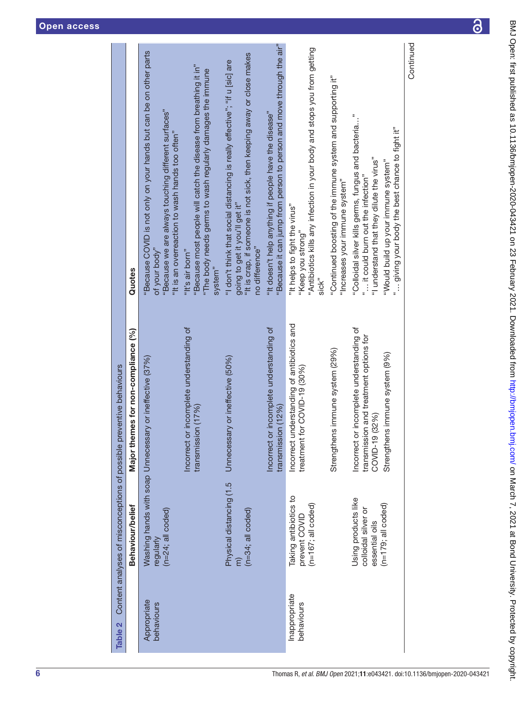<span id="page-6-0"></span>

| Table 2                     | Behaviour/belief                                               | Major themes for non-compliance (%)<br>Content analyses of misconceptions of possible preventive behaviours | Quotes                                                                                                                                                                                                   |
|-----------------------------|----------------------------------------------------------------|-------------------------------------------------------------------------------------------------------------|----------------------------------------------------------------------------------------------------------------------------------------------------------------------------------------------------------|
| Appropriate<br>behaviours   | $(n=24;$ all coded)<br>regularly                               | Washing hands with soap Unnecessary or ineffective (37%)                                                    | "Because COVID is not only on your hands but can be on other parts<br>"Because we are always touching different surfaces"<br>"It is an overreaction to wash hands too often"<br>of your body"            |
|                             |                                                                | or incomplete understanding of<br>transmission (17%)<br>Incorrect                                           | "Because most people will catch the disease from breathing it in"<br>"The body needs germs to wash regularly damages the immune<br>"It's air born"<br>system <sup>"</sup>                                |
|                             | Physical distancing (1.5<br>$(n=34; \text{ all coded})$        | Unnecessary or ineffective (50%)                                                                            | "It is crap, if someone is not sick, then keeping away or close makes<br>"I don't think that social distancing is really effective"; "if u [sic] are<br>going to get it you'll get it"<br>no difference" |
|                             |                                                                | or incomplete understanding of<br>transmission (12%)<br>Incorrect                                           | "Because it can jump from person to person and move through the air"<br>"It doesn't help anything if people have the disease"                                                                            |
| Inappropriate<br>behaviours | Taking antibiotics to<br>$(n=167;$ all coded)<br>prevent COVID | understanding of antibiotics and<br>treatment for COVID-19 (30%)<br>Incorrect                               | "Antibiotics kills any infection in your body and stops you from getting<br>"It helps to fight the virus"<br>"Keep you strong"<br>sick"                                                                  |
|                             |                                                                | Strengthens immune system (29%)                                                                             | "Continued boosting of the immune system and supporting it"<br>"Increases your immune system"                                                                                                            |
|                             | Using products like<br>colloidal silver or<br>essential oils   | Incorrect or incomplete understanding of<br>transmission and treatment options for<br>COVID-19 (32%)        | "Colloidal silver kills germs, fungus and bacteria"<br>"I understand that they dilute the virus"<br>" it could burn out the infection"                                                                   |
|                             | $(n=179;$ all coded)                                           | Strengthens immune system (9%)                                                                              | giving your body the best chance to fight it"<br>"Would build up your immune system"                                                                                                                     |
|                             |                                                                |                                                                                                             | Continued                                                                                                                                                                                                |

 $\overline{\partial}$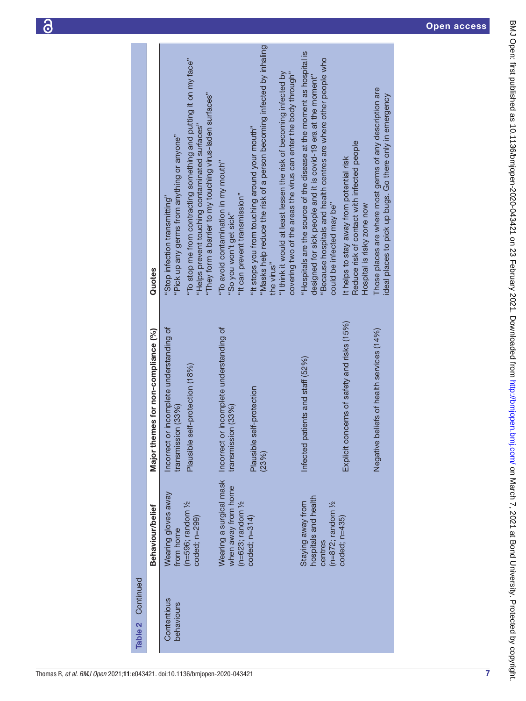Open access



6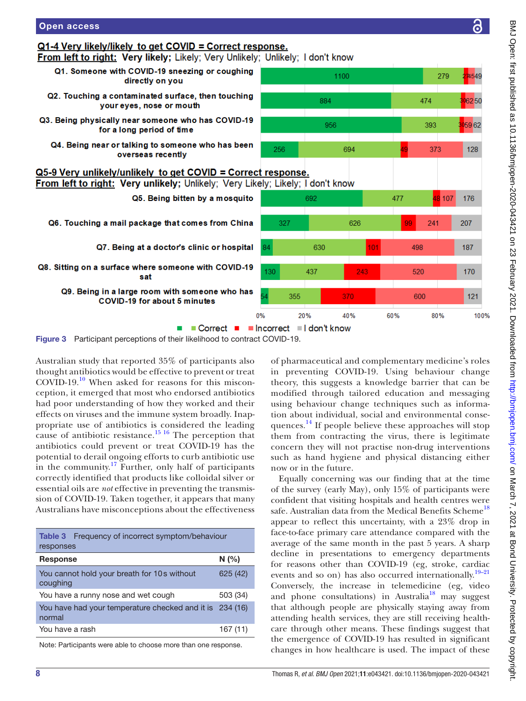

<span id="page-8-0"></span>Figure 3 Participant perceptions of their likelihood to contract COVID-19.

Australian study that reported 35% of participants also thought antibiotics would be effective to prevent or treat COVID-19.[10](#page-10-6) When asked for reasons for this misconception, it emerged that most who endorsed antibiotics had poor understanding of how they worked and their effects on viruses and the immune system broadly. Inappropriate use of antibiotics is considered the leading cause of antibiotic resistance.<sup>15 16</sup> The perception that antibiotics could prevent or treat COVID-19 has the potential to derail ongoing efforts to curb antibiotic use in the community.<sup>[17](#page-10-11)</sup> Further, only half of participants correctly identified that products like colloidal silver or essential oils are *not* effective in preventing the transmission of COVID-19. Taken together, it appears that many Australians have misconceptions about the effectiveness

Open access

<span id="page-8-1"></span>

| <b>Table 3</b> Frequency of incorrect symptom/behaviour<br>responses |          |
|----------------------------------------------------------------------|----------|
| <b>Response</b>                                                      | N(%)     |
| You cannot hold your breath for 10s without<br>coughing              | 625 (42) |
| You have a runny nose and wet cough                                  | 503 (34) |
| You have had your temperature checked and it is 234 (16)<br>normal   |          |
| You have a rash                                                      | 167 (11) |
|                                                                      |          |

Note: Participants were able to choose more than one response.

of pharmaceutical and complementary medicine's roles in preventing COVID-19. Using behaviour change theory, this suggests a knowledge barrier that can be modified through tailored education and messaging using behaviour change techniques such as information about individual, social and environmental conse-quences.<sup>[14](#page-10-9)</sup> If people believe these approaches will stop them from contracting the virus, there is legitimate concern they will not practise non-drug interventions such as hand hygiene and physical distancing either now or in the future.

Equally concerning was our finding that at the time of the survey (early May), only 15% of participants were confident that visiting hospitals and health centres were safe. Australian data from the Medical Benefits Scheme<sup>[18](#page-10-12)</sup> appear to reflect this uncertainty, with a 23% drop in face-to-face primary care attendance compared with the average of the same month in the past 5 years. A sharp decline in presentations to emergency departments for reasons other than COVID-19 (eg, stroke, cardiac events and so on) has also occurred internationally.<sup>[19–21](#page-10-13)</sup> Conversely, the increase in telemedicine (eg, video and phone consultations) in Australia<sup>18</sup> may suggest that although people are physically staying away from attending health services, they are still receiving healthcare through other means. These findings suggest that the emergence of COVID-19 has resulted in significant changes in how healthcare is used. The impact of these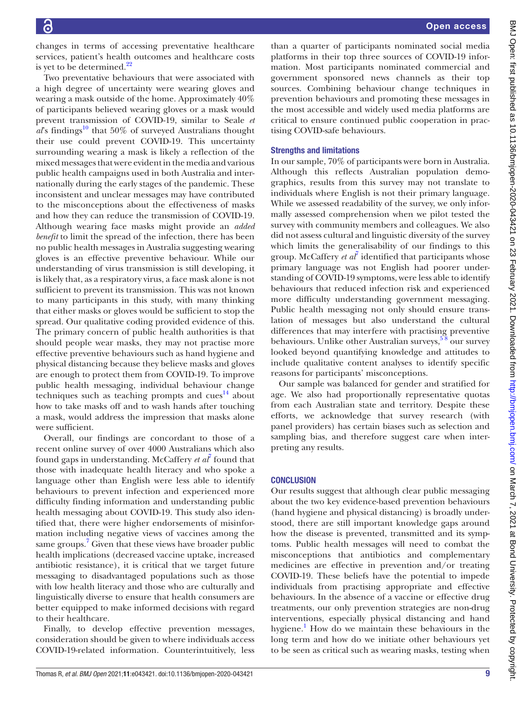changes in terms of accessing preventative healthcare services, patient's health outcomes and healthcare costs is yet to be determined. $^{22}$  $^{22}$  $^{22}$ 

Two preventative behaviours that were associated with a high degree of uncertainty were wearing gloves and wearing a mask outside of the home. Approximately 40% of participants believed wearing gloves or a mask would prevent transmission of COVID-19, similar to Seale *et*   $a\ell$ s findings<sup>10</sup> that 50% of surveyed Australians thought their use could prevent COVID-19. This uncertainty surrounding wearing a mask is likely a reflection of the mixed messages that were evident in the media and various public health campaigns used in both Australia and internationally during the early stages of the pandemic. These inconsistent and unclear messages may have contributed to the misconceptions about the effectiveness of masks and how they can reduce the transmission of COVID-19. Although wearing face masks might provide an *added benefit* to limit the spread of the infection, there has been no public health messages in Australia suggesting wearing gloves is an effective preventive behaviour. While our understanding of virus transmission is still developing, it is likely that, as a respiratory virus, a face mask alone is not sufficient to prevent its transmission. This was not known to many participants in this study, with many thinking that either masks or gloves would be sufficient to stop the spread. Our qualitative coding provided evidence of this. The primary concern of public health authorities is that should people wear masks, they may not practise more effective preventive behaviours such as hand hygiene and physical distancing because they believe masks and gloves are enough to protect them from COVID-19. To improve public health messaging, individual behaviour change techniques such as teaching prompts and cues $^{14}$  $^{14}$  $^{14}$  about how to take masks off and to wash hands after touching a mask, would address the impression that masks alone were sufficient.

Overall, our findings are concordant to those of a recent online survey of over 4000 Australians which also found gaps in understanding. McCaffery *et al<sup>†</sup>* found that those with inadequate health literacy and who spoke a language other than English were less able to identify behaviours to prevent infection and experienced more difficulty finding information and understanding public health messaging about COVID-19. This study also identified that, there were higher endorsements of misinformation including negative views of vaccines among the same groups.<sup>[7](#page-10-4)</sup> Given that these views have broader public health implications (decreased vaccine uptake, increased antibiotic resistance), it is critical that we target future messaging to disadvantaged populations such as those with low health literacy and those who are culturally and linguistically diverse to ensure that health consumers are better equipped to make informed decisions with regard to their healthcare.

Finally, to develop effective prevention messages, consideration should be given to where individuals access COVID-19-related information. Counterintuitively, less

than a quarter of participants nominated social media platforms in their top three sources of COVID-19 information. Most participants nominated commercial and government sponsored news channels as their top sources. Combining behaviour change techniques in prevention behaviours and promoting these messages in the most accessible and widely used media platforms are critical to ensure continued public cooperation in practising COVID-safe behaviours.

#### Strengths and limitations

In our sample, 70% of participants were born in Australia. Although this reflects Australian population demographics, results from this survey may not translate to individuals where English is not their primary language. While we assessed readability of the survey, we only informally assessed comprehension when we pilot tested the survey with community members and colleagues. We also did not assess cultural and linguistic diversity of the survey which limits the generalisability of our findings to this group. McCaffery *et al*<sup>[7](#page-10-4)</sup> identified that participants whose primary language was not English had poorer understanding of COVID-19 symptoms, were less able to identify behaviours that reduced infection risk and experienced more difficulty understanding government messaging. Public health messaging not only should ensure translation of messages but also understand the cultural differences that may interfere with practising preventive behaviours. Unlike other Australian surveys,<sup>58</sup> our survey looked beyond quantifying knowledge and attitudes to include qualitative content analyses to identify specific reasons for participants' misconceptions.

Our sample was balanced for gender and stratified for age. We also had proportionally representative quotas from each Australian state and territory. Despite these efforts, we acknowledge that survey research (with panel providers) has certain biases such as selection and sampling bias, and therefore suggest care when interpreting any results.

#### **CONCLUSION**

Our results suggest that although clear public messaging about the two key evidence-based prevention behaviours (hand hygiene and physical distancing) is broadly understood, there are still important knowledge gaps around how the disease is prevented, transmitted and its symptoms. Public health messages will need to combat the misconceptions that antibiotics and complementary medicines are effective in prevention and/or treating COVID-19. These beliefs have the potential to impede individuals from practising appropriate and effective behaviours. In the absence of a vaccine or effective drug treatments, our only prevention strategies are non-drug interventions, especially physical distancing and hand hygiene.<sup>[1](#page-10-0)</sup> How do we maintain these behaviours in the long term and how do we initiate other behaviours yet to be seen as critical such as wearing masks, testing when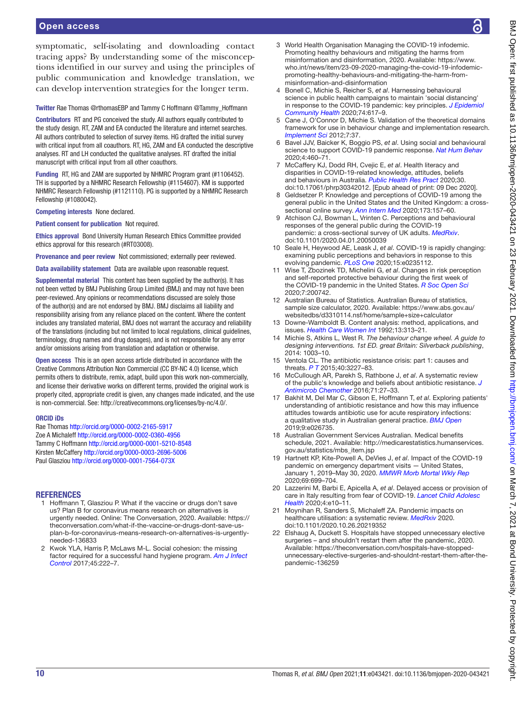symptomatic, self-isolating and downloading contact tracing apps? By understanding some of the misconceptions identified in our survey and using the principles of public communication and knowledge translation, we can develop intervention strategies for the longer term.

Twitter Rae Thomas [@rthomasEBP](https://twitter.com/rthomasEBP) and Tammy C Hoffmann [@Tammy\\_Hoffmann](https://twitter.com/Tammy_Hoffmann)

Contributors RT and PG conceived the study. All authors equally contributed to the study design. RT, ZAM and EA conducted the literature and internet searches. All authors contributed to selection of survey items. HG drafted the initial survey with critical input from all coauthors. RT, HG, ZAM and EA conducted the descriptive analyses. RT and LH conducted the qualitative analyses. RT drafted the initial manuscript with critical input from all other coauthors.

Funding RT, HG and ZAM are supported by NHMRC Program grant (#1106452). TH is supported by a NHMRC Research Fellowship (#1154607). KM is supported NHMRC Research Fellowship (#1121110). PG is supported by a NHMRC Research Fellowship (#1080042).

Competing interests None declared.

Patient consent for publication Not required.

Ethics approval Bond University Human Research Ethics Committee provided ethics approval for this research (#RT03008).

Provenance and peer review Not commissioned; externally peer reviewed.

Data availability statement Data are available upon reasonable request.

Supplemental material This content has been supplied by the author(s). It has not been vetted by BMJ Publishing Group Limited (BMJ) and may not have been peer-reviewed. Any opinions or recommendations discussed are solely those of the author(s) and are not endorsed by BMJ. BMJ disclaims all liability and responsibility arising from any reliance placed on the content. Where the content includes any translated material, BMJ does not warrant the accuracy and reliability of the translations (including but not limited to local regulations, clinical guidelines, terminology, drug names and drug dosages), and is not responsible for any error and/or omissions arising from translation and adaptation or otherwise.

Open access This is an open access article distributed in accordance with the Creative Commons Attribution Non Commercial (CC BY-NC 4.0) license, which permits others to distribute, remix, adapt, build upon this work non-commercially, and license their derivative works on different terms, provided the original work is properly cited, appropriate credit is given, any changes made indicated, and the use is non-commercial. See: [http://creativecommons.org/licenses/by-nc/4.0/.](http://creativecommons.org/licenses/by-nc/4.0/)

#### ORCID iDs

Rae Thomas<http://orcid.org/0000-0002-2165-5917> Zoe A Michaleff<http://orcid.org/0000-0002-0360-4956> Tammy C Hoffmann <http://orcid.org/0000-0001-5210-8548> Kirsten McCaffery<http://orcid.org/0000-0003-2696-5006> Paul Glasziou <http://orcid.org/0000-0001-7564-073X>

#### **REFERENCES**

- <span id="page-10-0"></span>1 Hoffmann T, Glasziou P. What if the vaccine or drugs don't save us? Plan B for coronavirus means research on alternatives is urgently needed. Online: The Conversation, 2020. Available: [https://](https://theconversation.com/what-if-the-vaccine-or-drugs-dont-save-us-plan-b-for-coronavirus-means-research-on-alternatives-is-urgently-needed-136833) [theconversation.com/what-if-the-vaccine-or-drugs-dont-save-us](https://theconversation.com/what-if-the-vaccine-or-drugs-dont-save-us-plan-b-for-coronavirus-means-research-on-alternatives-is-urgently-needed-136833)[plan-b-for-coronavirus-means-research-on-alternatives-is-urgently](https://theconversation.com/what-if-the-vaccine-or-drugs-dont-save-us-plan-b-for-coronavirus-means-research-on-alternatives-is-urgently-needed-136833)[needed-136833](https://theconversation.com/what-if-the-vaccine-or-drugs-dont-save-us-plan-b-for-coronavirus-means-research-on-alternatives-is-urgently-needed-136833)
- <span id="page-10-1"></span>2 Kwok YLA, Harris P, McLaws M-L. Social cohesion: the missing factor required for a successful hand hygiene program. *[Am J Infect](http://dx.doi.org/10.1016/j.ajic.2016.10.021)  [Control](http://dx.doi.org/10.1016/j.ajic.2016.10.021)* 2017;45:222–7.
- <span id="page-10-2"></span>3 World Health Organisation Managing the COVID-19 infodemic. Promoting healthy behaviours and mitigating the harms from misinformation and disinformation, 2020. Available: [https://www.](https://www.who.int/news/item/23-09-2020-managing-the-covid-19-infodemic-promoting-healthy-behaviours-and-mitigating-the-harm-from-misinformation-and-disinformation) [who.int/news/item/23-09-2020-managing-the-covid-19-infodemic](https://www.who.int/news/item/23-09-2020-managing-the-covid-19-infodemic-promoting-healthy-behaviours-and-mitigating-the-harm-from-misinformation-and-disinformation)[promoting-healthy-behaviours-and-mitigating-the-harm-from](https://www.who.int/news/item/23-09-2020-managing-the-covid-19-infodemic-promoting-healthy-behaviours-and-mitigating-the-harm-from-misinformation-and-disinformation)[misinformation-and-disinformation](https://www.who.int/news/item/23-09-2020-managing-the-covid-19-infodemic-promoting-healthy-behaviours-and-mitigating-the-harm-from-misinformation-and-disinformation)
- <span id="page-10-3"></span>4 Bonell C, Michie S, Reicher S, *et al*. Harnessing behavioural science in public health campaigns to maintain 'social distancing' in response to the COVID-19 pandemic: key principles. *[J Epidemiol](http://dx.doi.org/10.1136/jech-2020-214290)  [Community Health](http://dx.doi.org/10.1136/jech-2020-214290)* 2020;74:617–9.
- <span id="page-10-15"></span>5 Cane J, O'Connor D, Michie S. Validation of the theoretical domains framework for use in behaviour change and implementation research. *[Implement Sci](http://dx.doi.org/10.1186/1748-5908-7-37)* 2012;7:37.
- 6 Bavel JJV, Baicker K, Boggio PS, *et al*. Using social and behavioural science to support COVID-19 pandemic response. *[Nat Hum Behav](http://dx.doi.org/10.1038/s41562-020-0884-z)* 2020;4:460–71.
- <span id="page-10-4"></span>7 McCaffery KJ, Dodd RH, Cvejic E, *et al*. Health literacy and disparities in COVID-19-related knowledge, attitudes, beliefs and behaviours in Australia. *[Public Health Res Pract](http://dx.doi.org/10.17061/phrp30342012)* 2020;30. doi:10.17061/phrp30342012. [Epub ahead of print: 09 Dec 2020].
- 8 Geldsetzer P. Knowledge and perceptions of COVID-19 among the general public in the United States and the United Kingdom: a crosssectional online survey. *[Ann Intern Med](http://dx.doi.org/10.7326/M20-0912)* 2020;173:157–60.
- <span id="page-10-5"></span>9 Atchison CJ, Bowman L, Vrinten C. Perceptions and behavioural responses of the general public during the COVID-19 pandemic: a cross-sectional survey of UK adults. *[MedRxiv](http://dx.doi.org/10.1101/2020.04.01.20050039)*. doi:10.1101/2020.04.01.20050039
- <span id="page-10-6"></span>10 Seale H, Heywood AE, Leask J, *et al*. COVID-19 is rapidly changing: examining public perceptions and behaviors in response to this evolving pandemic. *[PLoS One](http://dx.doi.org/10.1371/journal.pone.0235112)* 2020;15:e0235112.
- 11 Wise T, Zbozinek TD, Michelini G, *et al*. Changes in risk perception and self-reported protective behaviour during the first week of the COVID-19 pandemic in the United States. *[R Soc Open Sci](http://dx.doi.org/10.1098/rsos.200742)* 2020;7:200742.
- <span id="page-10-7"></span>12 Australian Bureau of Statistics. Australian Bureau of statistics, sample size calculator, 2020. Available: [https://www.abs.gov.au/](https://www.abs.gov.au/websitedbs/d3310114.nsf/home/sample+size+calculator) [websitedbs/d3310114.nsf/home/sample+size+calculator](https://www.abs.gov.au/websitedbs/d3310114.nsf/home/sample+size+calculator)
- <span id="page-10-8"></span>13 Downe-Wamboldt B. Content analysis: method, applications, and issues. *[Health Care Women Int](http://dx.doi.org/10.1080/07399339209516006)* 1992;13:313–21.
- <span id="page-10-9"></span>14 Michie S, Atkins L, West R. *The behaviour change wheel. A guide to designing interventions. 1st ED. great Britain: Silverback publishing*, 2014: 1003–10.
- <span id="page-10-10"></span>15 Ventola CL. The antibiotic resistance crisis: part 1: causes and threats. *[P T](http://www.ncbi.nlm.nih.gov/pubmed/25859123)* 2015;40:3227–83.
- 16 McCullough AR, Parekh S, Rathbone J, *et al*. A systematic review of the public's knowledge and beliefs about antibiotic resistance. *[J](http://dx.doi.org/10.1093/jac/dkv310)  [Antimicrob Chemother](http://dx.doi.org/10.1093/jac/dkv310)* 2016;71:27–33.
- <span id="page-10-11"></span>17 Bakhit M, Del Mar C, Gibson E, Hoffmann T, *et al*. Exploring patients' understanding of antibiotic resistance and how this may influence attitudes towards antibiotic use for acute respiratory infections: a qualitative study in Australian general practice. *[BMJ Open](http://dx.doi.org/10.1136/bmjopen-2018-026735)* 2019;9:e026735.
- <span id="page-10-12"></span>18 Australian Government Services Australian. Medical benefits schedule, 2021. Available: [http://medicarestatistics.humanservices.](http://medicarestatistics.humanservices.gov.au/statistics/mbs_item.jsp) [gov.au/statistics/mbs\\_item.jsp](http://medicarestatistics.humanservices.gov.au/statistics/mbs_item.jsp)
- <span id="page-10-13"></span>19 Hartnett KP, Kite-Powell A, DeVies J, *et al*. Impact of the COVID-19 pandemic on emergency department visits — United States, January 1, 2019–May 30, 2020. *[MMWR Morb Mortal Wkly Rep](http://dx.doi.org/10.15585/mmwr.mm6923e1)* 2020;69:699–704.
- 20 Lazzerini M, Barbi E, Apicella A, *et al*. Delayed access or provision of care in Italy resulting from fear of COVID-19. *[Lancet Child Adolesc](http://dx.doi.org/10.1016/S2352-4642(20)30108-5)  [Health](http://dx.doi.org/10.1016/S2352-4642(20)30108-5)* 2020;4:e10–11.
- 21 Moynihan R, Sanders S, Michaleff ZA. Pandemic impacts on healthcare utilisation: a systematic review. *[MedRxiv](http://dx.doi.org/10.1101/2020.10.26.20219352)* 2020. doi:10.1101/2020.10.26.20219352
- <span id="page-10-14"></span>22 Elshaug A, Duckett S. Hospitals have stopped unnecessary elective surgeries – and shouldn't restart them after the pandemic, 2020. Available: [https://theconversation.com/hospitals-have-stopped](https://theconversation.com/hospitals-have-stopped-unnecessary-elective-surgeries-and-shouldnt-restart-them-after-the-pandemic-136259)[unnecessary-elective-surgeries-and-shouldnt-restart-them-after-the](https://theconversation.com/hospitals-have-stopped-unnecessary-elective-surgeries-and-shouldnt-restart-them-after-the-pandemic-136259)[pandemic-136259](https://theconversation.com/hospitals-have-stopped-unnecessary-elective-surgeries-and-shouldnt-restart-them-after-the-pandemic-136259)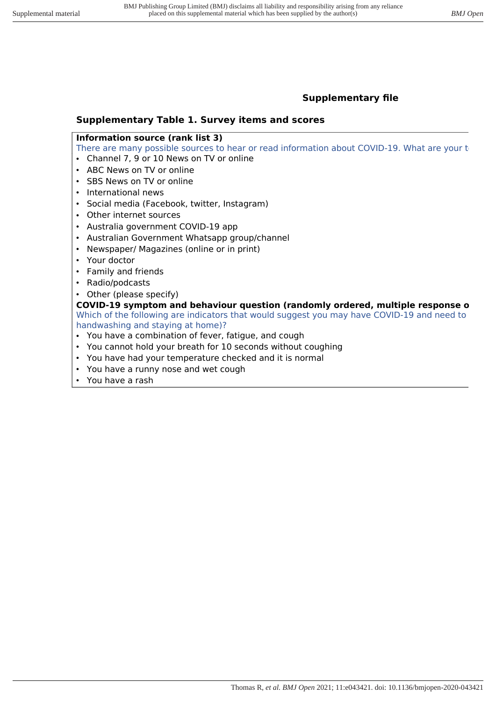# **Supplementary file**

# **Supplementary Table 1. Survey items and scores**

# **Information source (rank list 3)**

There are many possible sources to hear or read information about COVID-19. What are your t

- Channel 7, 9 or 10 News on TV or online
- ABC News on TV or online
- SBS News on TV or online
- International news
- Social media (Facebook, twitter, Instagram)
- Other internet sources
- Australia government COVID-19 app
- Australian Government Whatsapp group/channel
- Newspaper/ Magazines (online or in print)
- Your doctor
- Family and friends
- Radio/podcasts
- Other (please specify)

# **COVID-19 symptom and behaviour question (randomly ordered, multiple response o** Which of the following are indicators that would suggest you may have COVID-19 and need to handwashing and staying at home)?

- You have a combination of fever, fatigue, and cough
- You cannot hold your breath for 10 seconds without coughing
- You have had your temperature checked and it is normal
- You have a runny nose and wet cough
- You have a rash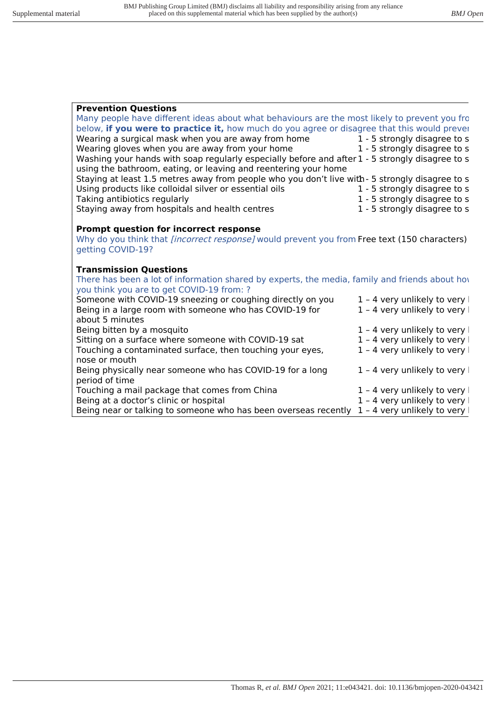| <b>Prevention Questions</b>                                                                         |                               |  |
|-----------------------------------------------------------------------------------------------------|-------------------------------|--|
| Many people have different ideas about what behaviours are the most likely to prevent you fro       |                               |  |
| below, if you were to practice it, how much do you agree or disagree that this would prever         |                               |  |
| Wearing a surgical mask when you are away from home $1 - 5$ strongly disagree to s                  |                               |  |
| Wearing gloves when you are away from your home                                                     | 1 - 5 strongly disagree to s  |  |
| Washing your hands with soap regularly especially before and after 1 - 5 strongly disagree to s     |                               |  |
| using the bathroom, eating, or leaving and reentering your home                                     |                               |  |
| Staying at least 1.5 metres away from people who you don't live with - 5 strongly disagree to s     |                               |  |
| Using products like colloidal silver or essential oils                                              | 1 - 5 strongly disagree to s  |  |
| Taking antibiotics regularly                                                                        | 1 - 5 strongly disagree to s  |  |
| Staying away from hospitals and health centres                                                      | 1 - 5 strongly disagree to s  |  |
|                                                                                                     |                               |  |
| <b>Prompt question for incorrect response</b>                                                       |                               |  |
| Why do you think that <i>[incorrect response]</i> would prevent you from Free text (150 characters) |                               |  |
| getting COVID-19?                                                                                   |                               |  |
|                                                                                                     |                               |  |
| <b>Transmission Questions</b>                                                                       |                               |  |
| There has been a lot of information shared by experts, the media, family and friends about hove     |                               |  |
| you think you are to get COVID-19 from: ?                                                           |                               |  |
| Someone with COVID-19 sneezing or coughing directly on you                                          | $1 - 4$ very unlikely to very |  |
| Being in a large room with someone who has COVID-19 for                                             | 1 - 4 very unlikely to very   |  |
| about 5 minutes                                                                                     |                               |  |
| Being bitten by a mosquito                                                                          | $1 - 4$ very unlikely to very |  |
| Sitting on a surface where someone with COVID-19 sat                                                | 1 - 4 very unlikely to very   |  |
| Touching a contaminated surface, then touching your eyes,                                           | 1 - 4 very unlikely to very   |  |
| nose or mouth                                                                                       |                               |  |

Being physically near someone who has COVID-19 for a long  $1 - 4$  very unlikely to very l period of time Touching a mail package that comes from China 1 – 4 very unlikely to very Being at a doctor's clinic or hospital  $1 - 4$  very unlikely to very l<br>Being near or talking to someone who has been overseas recently  $1 - 4$  very unlikely to very Being near or talking to someone who has been overseas recently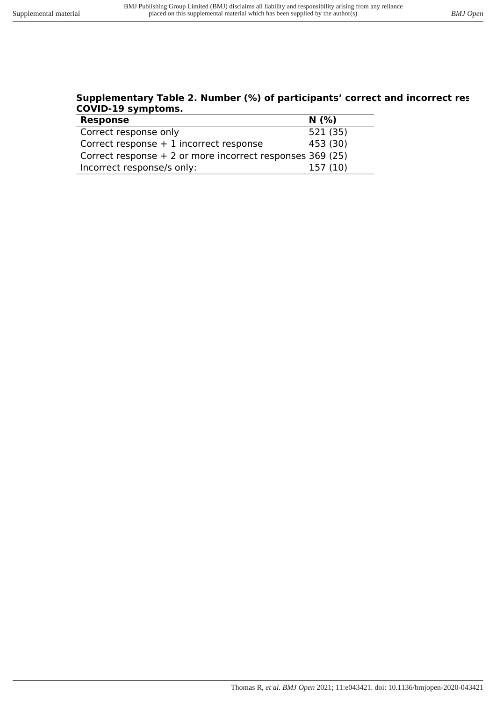#### **Supplementary Table 2. Number (%) of participants' correct and incorrect res COVID-19 symptoms.**   $\overline{a}$

| <b>Response</b>                                            | N(% )    |
|------------------------------------------------------------|----------|
| Correct response only                                      | 521 (35) |
| Correct response $+1$ incorrect response                   | 453 (30) |
| Correct response $+2$ or more incorrect responses 369 (25) |          |
| Incorrect response/s only:                                 | 157(10)  |